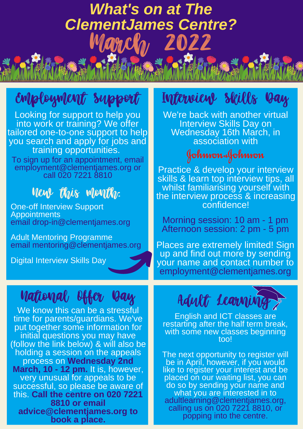## *What's on at The ClementJames Centre?* ancles 2022

# Employment Support Interview Skills Day

Looking for support to help you into work or training? We offer tailored one-to-one support to help you search and apply for jobs and training opportunities. To sign up for an appointment, email employment@clementjames.org or call 020 7221 8810

#### New this month:

One-off Interview Support **Appointments** email drop-in@clementjames.org

Adult Mentoring Programme email mentoring@clementjames.org

Digital Interview Skills Day

### National Offer Day

We know this can be a stressful time for parents/guardians. We've put together some information for initial questions you may have (follow the link below) & will also be holding a session on the appeals process on **Wednesday 2nd March, 10 - 12 pm.** It is, however, very unusual for appeals to be successful, so please be aware of this. **Call the centre on 020 7221 8810 or email advice@clementjames.org to book a place.**

We're back with another virtual Interview Skills Day on Wednesday 16th March, in association with

Johnson&Johnson

Practice & develop your interview skills & learn top interview tips, all whilst familiarising yourself with the interview process & increasing confidence!

Morning session: 10 am - 1 pm Afternoon session: 2 pm - 5 pm

Places are extremely limited! Sign up and find out more by sending your name and contact number to employment@clementjames.org



English and ICT classes are restarting after the half term break, with some new classes beginning too!

The next opportunity to register will be in April, however, if you would like to register your interest and be placed on our waiting list, you can do so by sending your name and what you are interested in to adultlearning@clementjames.org, calling us on 020 7221 8810, or popping into the centre.